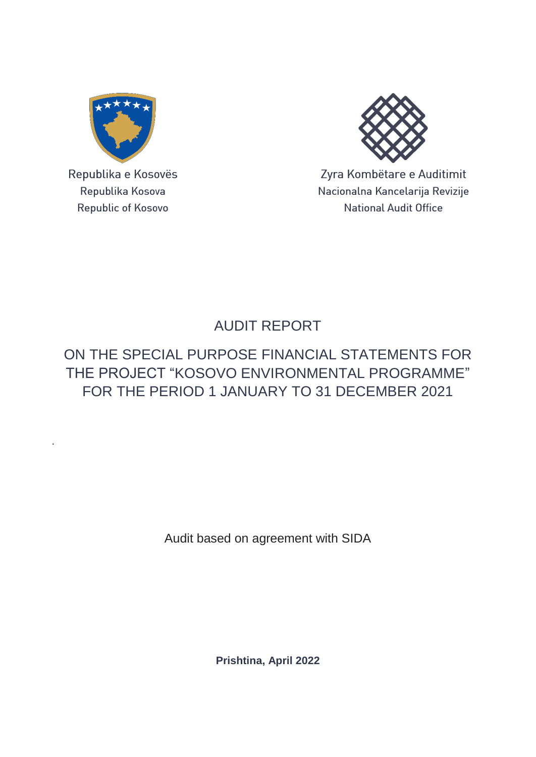

Republika e Kosovës Republika Kosova Republic of Kosovo

.



Zyra Kombëtare e Auditimit Nacionalna Kancelarija Revizije **National Audit Office** 

# AUDIT REPORT

## ON THE SPECIAL PURPOSE FINANCIAL STATEMENTS FOR THE PROJECT "KOSOVO ENVIRONMENTAL PROGRAMME" FOR THE PERIOD 1 JANUARY TO 31 DECEMBER 2021

Audit based on agreement with SIDA

**Prishtina, April 2022**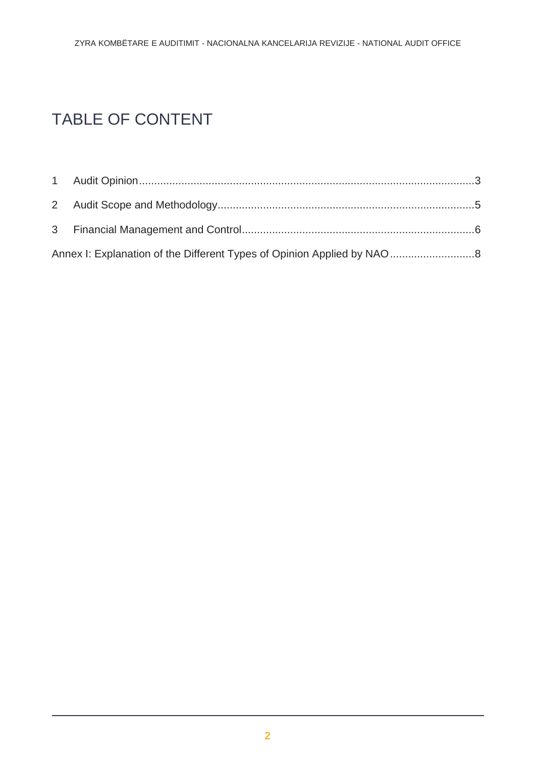# TABLE OF CONTENT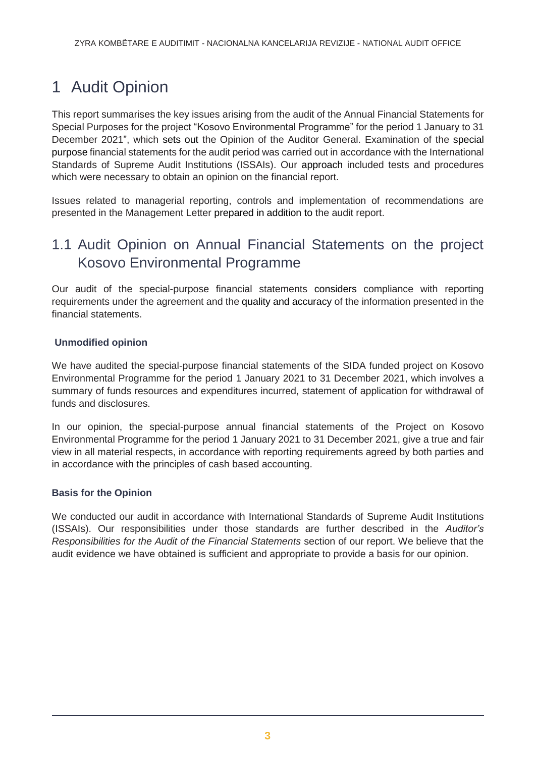# <span id="page-2-0"></span>1 Audit Opinion

This report summarises the key issues arising from the audit of the Annual Financial Statements for Special Purposes for the project "Kosovo Environmental Programme" for the period 1 January to 31 December 2021", which sets out the Opinion of the Auditor General. Examination of the special purpose financial statements for the audit period was carried out in accordance with the International Standards of Supreme Audit Institutions (ISSAIs). Our approach included tests and procedures which were necessary to obtain an opinion on the financial report.

Issues related to managerial reporting, controls and implementation of recommendations are presented in the Management Letter prepared in addition to the audit report.

### 1.1 Audit Opinion on Annual Financial Statements on the project Kosovo Environmental Programme

Our audit of the special-purpose financial statements considers compliance with reporting requirements under the agreement and the quality and accuracy of the information presented in the financial statements.

### **Unmodified opinion**

We have audited the special-purpose financial statements of the SIDA funded project on Kosovo Environmental Programme for the period 1 January 2021 to 31 December 2021, which involves a summary of funds resources and expenditures incurred, statement of application for withdrawal of funds and disclosures.

In our opinion, the special-purpose annual financial statements of the Project on Kosovo Environmental Programme for the period 1 January 2021 to 31 December 2021, give a true and fair view in all material respects, in accordance with reporting requirements agreed by both parties and in accordance with the principles of cash based accounting.

### **Basis for the Opinion**

We conducted our audit in accordance with International Standards of Supreme Audit Institutions (ISSAIs). Our responsibilities under those standards are further described in the *Auditor's Responsibilities for the Audit of the Financial Statements* section of our report. We believe that the audit evidence we have obtained is sufficient and appropriate to provide a basis for our opinion.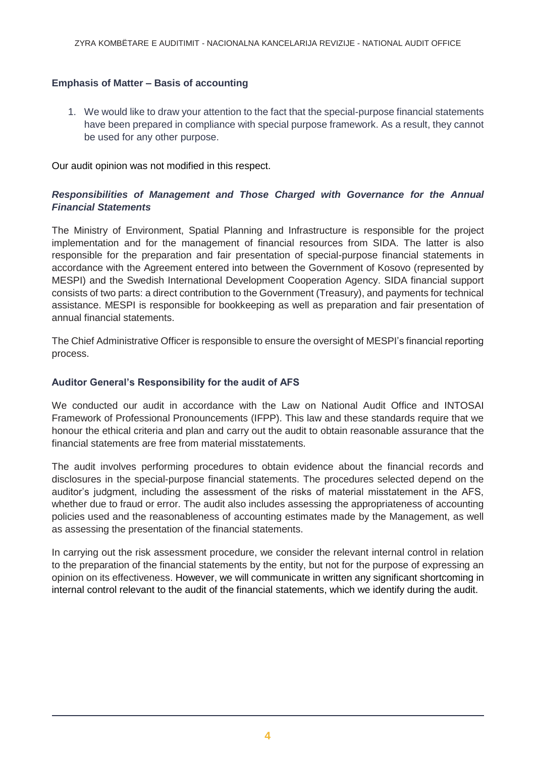### **Emphasis of Matter – Basis of accounting**

1. We would like to draw your attention to the fact that the special-purpose financial statements have been prepared in compliance with special purpose framework. As a result, they cannot be used for any other purpose.

Our audit opinion was not modified in this respect.

### *Responsibilities of Management and Those Charged with Governance for the Annual Financial Statements*

The Ministry of Environment, Spatial Planning and Infrastructure is responsible for the project implementation and for the management of financial resources from SIDA. The latter is also responsible for the preparation and fair presentation of special-purpose financial statements in accordance with the Agreement entered into between the Government of Kosovo (represented by MESPI) and the Swedish International Development Cooperation Agency. SIDA financial support consists of two parts: a direct contribution to the Government (Treasury), and payments for technical assistance. MESPI is responsible for bookkeeping as well as preparation and fair presentation of annual financial statements.

The Chief Administrative Officer is responsible to ensure the oversight of MESPI's financial reporting process.

#### **Auditor General's Responsibility for the audit of AFS**

We conducted our audit in accordance with the Law on National Audit Office and INTOSAI Framework of Professional Pronouncements (IFPP). This law and these standards require that we honour the ethical criteria and plan and carry out the audit to obtain reasonable assurance that the financial statements are free from material misstatements.

The audit involves performing procedures to obtain evidence about the financial records and disclosures in the special-purpose financial statements. The procedures selected depend on the auditor's judgment, including the assessment of the risks of material misstatement in the AFS, whether due to fraud or error. The audit also includes assessing the appropriateness of accounting policies used and the reasonableness of accounting estimates made by the Management, as well as assessing the presentation of the financial statements.

In carrying out the risk assessment procedure, we consider the relevant internal control in relation to the preparation of the financial statements by the entity, but not for the purpose of expressing an opinion on its effectiveness. However, we will communicate in written any significant shortcoming in internal control relevant to the audit of the financial statements, which we identify during the audit.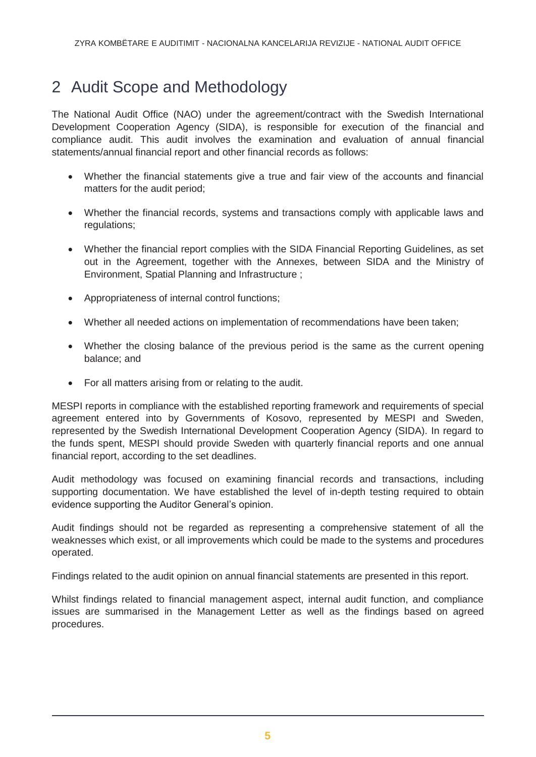## <span id="page-4-0"></span>2 Audit Scope and Methodology

The National Audit Office (NAO) under the agreement/contract with the Swedish International Development Cooperation Agency (SIDA), is responsible for execution of the financial and compliance audit. This audit involves the examination and evaluation of annual financial statements/annual financial report and other financial records as follows:

- Whether the financial statements give a true and fair view of the accounts and financial matters for the audit period;
- Whether the financial records, systems and transactions comply with applicable laws and regulations;
- Whether the financial report complies with the SIDA Financial Reporting Guidelines, as set out in the Agreement, together with the Annexes, between SIDA and the Ministry of Environment, Spatial Planning and Infrastructure ;
- Appropriateness of internal control functions;
- Whether all needed actions on implementation of recommendations have been taken;
- Whether the closing balance of the previous period is the same as the current opening balance; and
- For all matters arising from or relating to the audit.

MESPI reports in compliance with the established reporting framework and requirements of special agreement entered into by Governments of Kosovo, represented by MESPI and Sweden, represented by the Swedish International Development Cooperation Agency (SIDA). In regard to the funds spent, MESPI should provide Sweden with quarterly financial reports and one annual financial report, according to the set deadlines.

Audit methodology was focused on examining financial records and transactions, including supporting documentation. We have established the level of in-depth testing required to obtain evidence supporting the Auditor General's opinion.

Audit findings should not be regarded as representing a comprehensive statement of all the weaknesses which exist, or all improvements which could be made to the systems and procedures operated.

Findings related to the audit opinion on annual financial statements are presented in this report.

Whilst findings related to financial management aspect, internal audit function, and compliance issues are summarised in the Management Letter as well as the findings based on agreed procedures.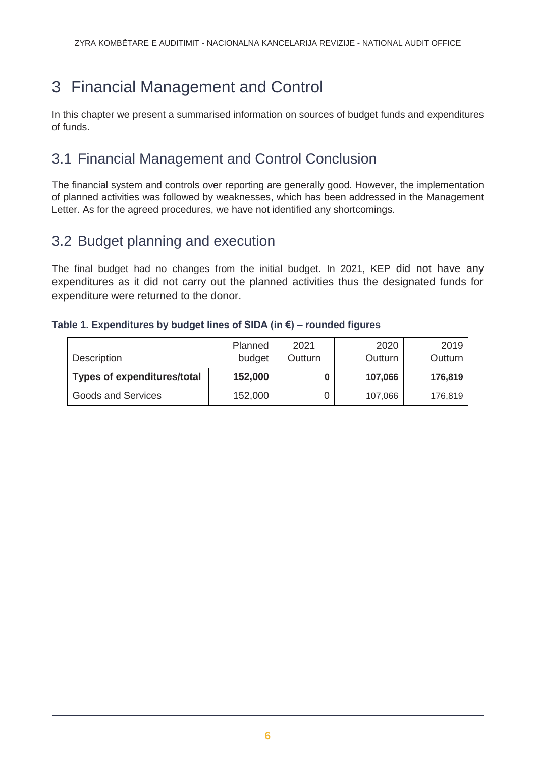# <span id="page-5-0"></span>3 Financial Management and Control

In this chapter we present a summarised information on sources of budget funds and expenditures of funds.

## 3.1 Financial Management and Control Conclusion

The financial system and controls over reporting are generally good. However, the implementation of planned activities was followed by weaknesses, which has been addressed in the Management Letter. As for the agreed procedures, we have not identified any shortcomings.

### 3.2 Budget planning and execution

The final budget had no changes from the initial budget. In 2021, KEP did not have any expenditures as it did not carry out the planned activities thus the designated funds for expenditure were returned to the donor.

|  | Table 1. Expenditures by budget lines of SIDA (in $\epsilon$ ) – rounded figures |  |
|--|----------------------------------------------------------------------------------|--|
|  |                                                                                  |  |

| Description                        | Planned<br>budget | 2021<br>Outturn | 2020<br>Outturn | 2019<br>Outturn |
|------------------------------------|-------------------|-----------------|-----------------|-----------------|
| <b>Types of expenditures/total</b> | 152,000           | 0               | 107,066         | 176,819         |
| <b>Goods and Services</b>          | 152,000           |                 | 107,066         | 176,819         |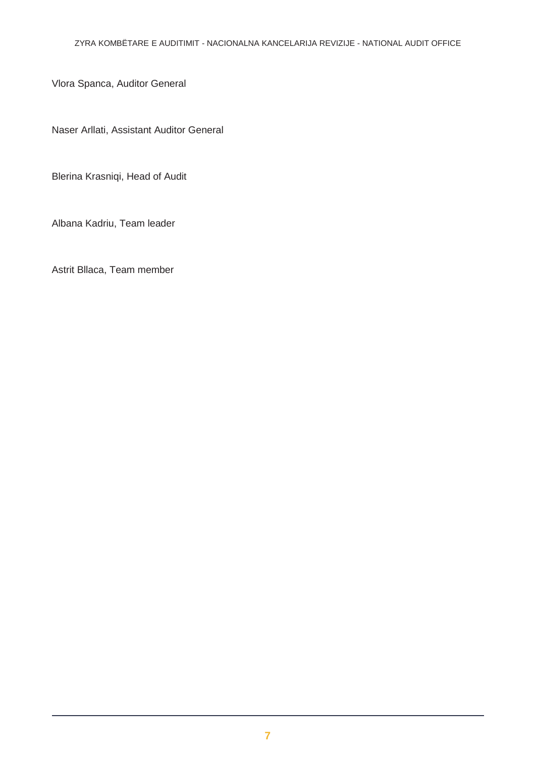Vlora Spanca, Auditor General

Naser Arllati, Assistant Auditor General

Blerina Krasniqi, Head of Audit

Albana Kadriu, Team leader

Astrit Bllaca, Team member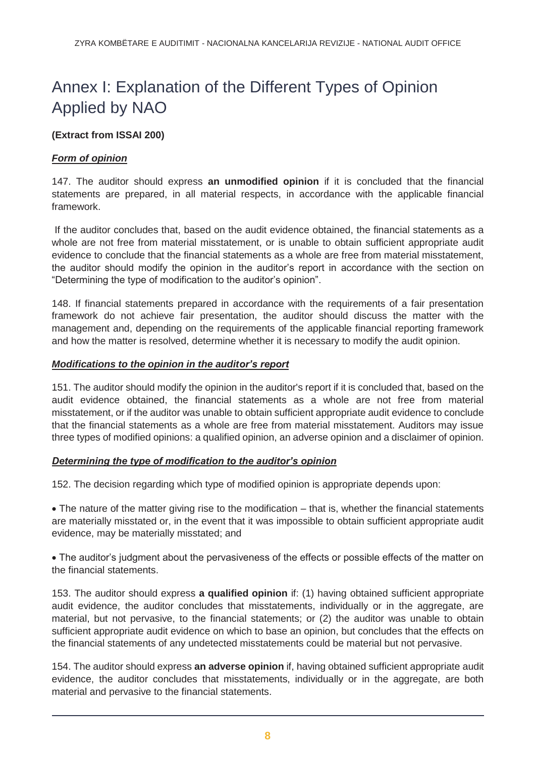## <span id="page-7-0"></span>Annex I: Explanation of the Different Types of Opinion Applied by NAO

### **(Extract from ISSAI 200)**

### *Form of opinion*

147. The auditor should express **an unmodified opinion** if it is concluded that the financial statements are prepared, in all material respects, in accordance with the applicable financial framework.

If the auditor concludes that, based on the audit evidence obtained, the financial statements as a whole are not free from material misstatement, or is unable to obtain sufficient appropriate audit evidence to conclude that the financial statements as a whole are free from material misstatement, the auditor should modify the opinion in the auditor's report in accordance with the section on "Determining the type of modification to the auditor's opinion".

148. If financial statements prepared in accordance with the requirements of a fair presentation framework do not achieve fair presentation, the auditor should discuss the matter with the management and, depending on the requirements of the applicable financial reporting framework and how the matter is resolved, determine whether it is necessary to modify the audit opinion.

### *Modifications to the opinion in the auditor's report*

151. The auditor should modify the opinion in the auditor's report if it is concluded that, based on the audit evidence obtained, the financial statements as a whole are not free from material misstatement, or if the auditor was unable to obtain sufficient appropriate audit evidence to conclude that the financial statements as a whole are free from material misstatement. Auditors may issue three types of modified opinions: a qualified opinion, an adverse opinion and a disclaimer of opinion.

### *Determining the type of modification to the auditor's opinion*

152. The decision regarding which type of modified opinion is appropriate depends upon:

• The nature of the matter giving rise to the modification – that is, whether the financial statements are materially misstated or, in the event that it was impossible to obtain sufficient appropriate audit evidence, may be materially misstated; and

 The auditor's judgment about the pervasiveness of the effects or possible effects of the matter on the financial statements.

153. The auditor should express **a qualified opinion** if: (1) having obtained sufficient appropriate audit evidence, the auditor concludes that misstatements, individually or in the aggregate, are material, but not pervasive, to the financial statements; or (2) the auditor was unable to obtain sufficient appropriate audit evidence on which to base an opinion, but concludes that the effects on the financial statements of any undetected misstatements could be material but not pervasive.

154. The auditor should express **an adverse opinion** if, having obtained sufficient appropriate audit evidence, the auditor concludes that misstatements, individually or in the aggregate, are both material and pervasive to the financial statements.